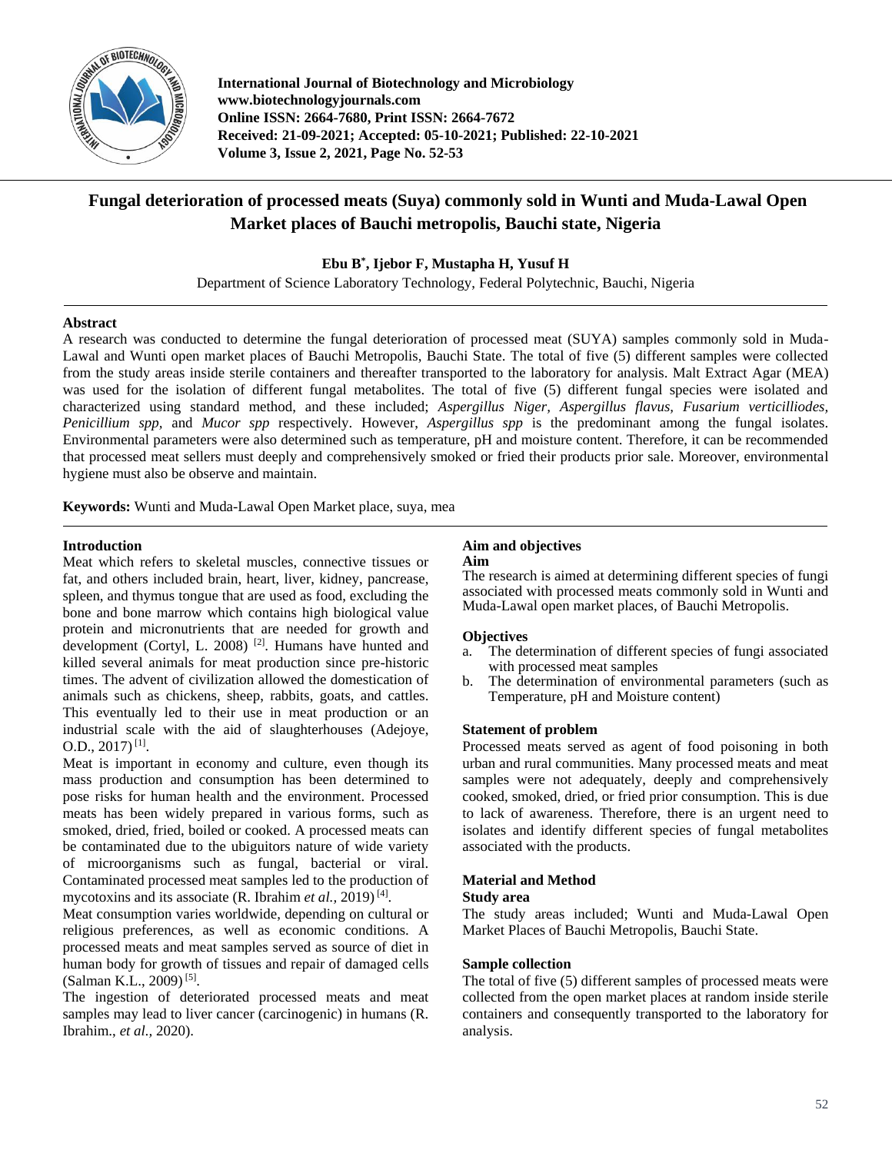

**International Journal of Biotechnology and Microbiology www.biotechnologyjournals.com Online ISSN: 2664-7680, Print ISSN: 2664-7672 Received: 21-09-2021; Accepted: 05-10-2021; Published: 22-10-2021 Volume 3, Issue 2, 2021, Page No. 52-53**

# **Fungal deterioration of processed meats (Suya) commonly sold in Wunti and Muda-Lawal Open Market places of Bauchi metropolis, Bauchi state, Nigeria**

**Ebu B\* , Ijebor F, Mustapha H, Yusuf H**

Department of Science Laboratory Technology, Federal Polytechnic, Bauchi, Nigeria

### **Abstract**

A research was conducted to determine the fungal deterioration of processed meat (SUYA) samples commonly sold in Muda-Lawal and Wunti open market places of Bauchi Metropolis, Bauchi State. The total of five (5) different samples were collected from the study areas inside sterile containers and thereafter transported to the laboratory for analysis. Malt Extract Agar (MEA) was used for the isolation of different fungal metabolites. The total of five (5) different fungal species were isolated and characterized using standard method, and these included; *Aspergillus Niger, Aspergillus flavus, Fusarium verticilliodes, Penicillium spp,* and *Mucor spp* respectively. However, *Aspergillus spp* is the predominant among the fungal isolates. Environmental parameters were also determined such as temperature, pH and moisture content. Therefore, it can be recommended that processed meat sellers must deeply and comprehensively smoked or fried their products prior sale. Moreover, environmental hygiene must also be observe and maintain.

**Keywords:** Wunti and Muda-Lawal Open Market place, suya, mea

### **Introduction**

Meat which refers to skeletal muscles, connective tissues or fat, and others included brain, heart, liver, kidney, pancrease, spleen, and thymus tongue that are used as food, excluding the bone and bone marrow which contains high biological value protein and micronutrients that are needed for growth and development (Cortyl, L. 2008)<sup>[2]</sup>. Humans have hunted and killed several animals for meat production since pre-historic times. The advent of civilization allowed the domestication of animals such as chickens, sheep, rabbits, goats, and cattles. This eventually led to their use in meat production or an industrial scale with the aid of slaughterhouses (Adejoye,  $O.D., 2017$ <sup>[1]</sup>.

Meat is important in economy and culture, even though its mass production and consumption has been determined to pose risks for human health and the environment. Processed meats has been widely prepared in various forms, such as smoked, dried, fried, boiled or cooked. A processed meats can be contaminated due to the ubiguitors nature of wide variety of microorganisms such as fungal, bacterial or viral. Contaminated processed meat samples led to the production of mycotoxins and its associate (R. Ibrahim et al., 2019)<sup>[4]</sup>.

Meat consumption varies worldwide, depending on cultural or religious preferences, as well as economic conditions. A processed meats and meat samples served as source of diet in human body for growth of tissues and repair of damaged cells (Salman K.L., 2009)<sup>[5]</sup>.

The ingestion of deteriorated processed meats and meat samples may lead to liver cancer (carcinogenic) in humans (R. Ibrahim., *et al.,* 2020).

#### **Aim and objectives Aim**

The research is aimed at determining different species of fungi associated with processed meats commonly sold in Wunti and Muda-Lawal open market places, of Bauchi Metropolis.

# **Objectives**

- a. The determination of different species of fungi associated with processed meat samples
- b. The determination of environmental parameters (such as Temperature, pH and Moisture content)

# **Statement of problem**

Processed meats served as agent of food poisoning in both urban and rural communities. Many processed meats and meat samples were not adequately, deeply and comprehensively cooked, smoked, dried, or fried prior consumption. This is due to lack of awareness. Therefore, there is an urgent need to isolates and identify different species of fungal metabolites associated with the products.

# **Material and Method**

### **Study area**

The study areas included; Wunti and Muda-Lawal Open Market Places of Bauchi Metropolis, Bauchi State.

# **Sample collection**

The total of five (5) different samples of processed meats were collected from the open market places at random inside sterile containers and consequently transported to the laboratory for analysis.